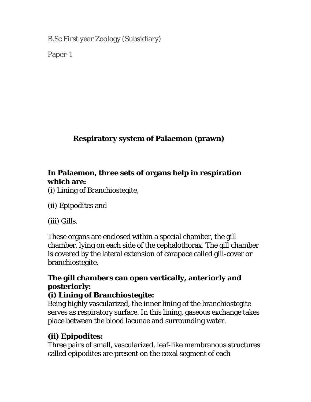B.Sc First year Zoology (Subsidiary)

Paper-1

# **Respiratory system of Palaemon (prawn)**

## **In Palaemon, three sets of organs help in respiration which are:**

(i) Lining of Branchiostegite,

(ii) Epipodites and

(iii) Gills.

These organs are enclosed within a special chamber, the gill chamber, lying on each side of the cephalothorax. The gill chamber is covered by the lateral extension of carapace called gill-cover or branchiostegite.

## **The gill chambers can open vertically, anteriorly and posteriorly:**

## **(i) Lining of Branchiostegite:**

Being highly vascularized, the inner lining of the branchiostegite serves as respiratory surface. In this lining, gaseous exchange takes place between the blood lacunae and surrounding water.

## **(ii) Epipodites:**

Three pairs of small, vascularized, leaf-like membranous structures called epipodites are present on the coxal segment of each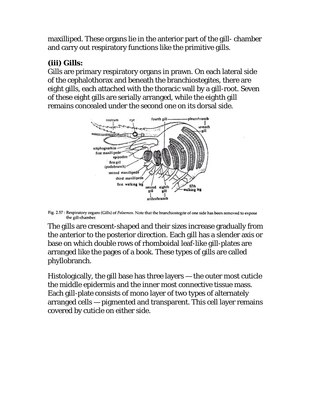maxilliped. These organs lie in the anterior part of the gill- chamber and carry out respiratory functions like the primitive gills.

#### **(iii) Gills:**

Gills are primary respiratory organs in prawn. On each lateral side of the cephalothorax and beneath the branchiostegites, there are eight gills, each attached with the thoracic wall by a gill-root. Seven of these eight gills are serially arranged, while the eighth gill remains concealed under the second one on its dorsal side.



Fig. 2.57 : Respiratory organs (Gills) of Palaemon. Note that the branchiostegite of one side has been removed to expose the gill-chamber.

The gills are crescent-shaped and their sizes increase gradually from the anterior to the posterior direction. Each gill has a slender axis or base on which double rows of rhomboidal leaf-like gill-plates are arranged like the pages of a book. These types of gills are called phyllobranch.

Histologically, the gill base has three layers — the outer most cuticle the middle epidermis and the inner most connective tissue mass. Each gill-plate consists of mono layer of two types of alternately arranged cells — pigmented and transparent. This cell layer remains covered by cuticle on either side.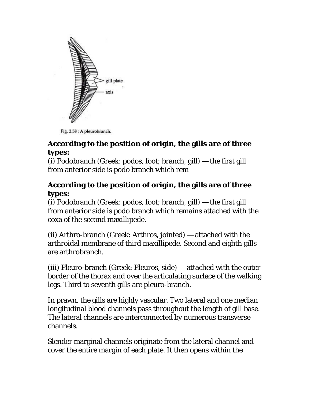

Fig. 2.58 : A pleurobranch.

#### **According to the position of origin, the gills are of three types:**

(i) Podobranch (Greek: podos, foot; branch, gill) — the first gill from anterior side is podo branch which rem

#### **According to the position of origin, the gills are of three types:**

(i) Podobranch (Greek: podos, foot; branch, gill) — the first gill from anterior side is podo branch which remains attached with the coxa of the second maxillipede.

(ii) Arthro-branch (Greek: Arthros, jointed) — attached with the arthroidal membrane of third maxillipede. Second and eighth gills are arthrobranch.

(iii) Pleuro-branch (Greek: Pleuros, side) — attached with the outer border of the thorax and over the articulating surface of the walking legs. Third to seventh gills are pleuro-branch.

In prawn, the gills are highly vascular. Two lateral and one median longitudinal blood channels pass throughout the length of gill base. The lateral channels are interconnected by numerous transverse channels.

Slender marginal channels originate from the lateral channel and cover the entire margin of each plate. It then opens within the